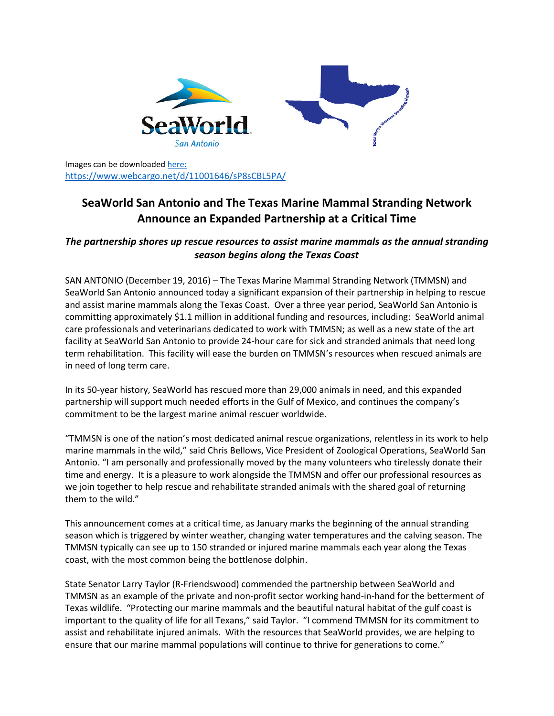

Images can be downloaded [here:](https://www.webcargo.net/d/11001646/sP8sCBL5PA/) <https://www.webcargo.net/d/11001646/sP8sCBL5PA/>

## **SeaWorld San Antonio and The Texas Marine Mammal Stranding Network Announce an Expanded Partnership at a Critical Time**

## *The partnership shores up rescue resources to assist marine mammals as the annual stranding season begins along the Texas Coast*

SAN ANTONIO (December 19, 2016) – The Texas Marine Mammal Stranding Network (TMMSN) and SeaWorld San Antonio announced today a significant expansion of their partnership in helping to rescue and assist marine mammals along the Texas Coast. Over a three year period, SeaWorld San Antonio is committing approximately \$1.1 million in additional funding and resources, including: SeaWorld animal care professionals and veterinarians dedicated to work with TMMSN; as well as a new state of the art facility at SeaWorld San Antonio to provide 24-hour care for sick and stranded animals that need long term rehabilitation. This facility will ease the burden on TMMSN's resources when rescued animals are in need of long term care.

In its 50-year history, SeaWorld has rescued more than 29,000 animals in need, and this expanded partnership will support much needed efforts in the Gulf of Mexico, and continues the company's commitment to be the largest marine animal rescuer worldwide.

"TMMSN is one of the nation's most dedicated animal rescue organizations, relentless in its work to help marine mammals in the wild," said Chris Bellows, Vice President of Zoological Operations, SeaWorld San Antonio. "I am personally and professionally moved by the many volunteers who tirelessly donate their time and energy. It is a pleasure to work alongside the TMMSN and offer our professional resources as we join together to help rescue and rehabilitate stranded animals with the shared goal of returning them to the wild."

This announcement comes at a critical time, as January marks the beginning of the annual stranding season which is triggered by winter weather, changing water temperatures and the calving season. The TMMSN typically can see up to 150 stranded or injured marine mammals each year along the Texas coast, with the most common being the bottlenose dolphin.

State Senator Larry Taylor (R-Friendswood) commended the partnership between SeaWorld and TMMSN as an example of the private and non-profit sector working hand-in-hand for the betterment of Texas wildlife. "Protecting our marine mammals and the beautiful natural habitat of the gulf coast is important to the quality of life for all Texans," said Taylor. "I commend TMMSN for its commitment to assist and rehabilitate injured animals. With the resources that SeaWorld provides, we are helping to ensure that our marine mammal populations will continue to thrive for generations to come."